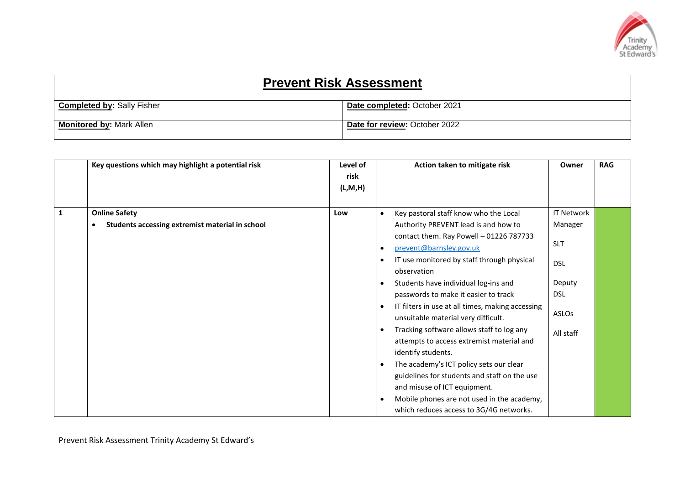

| <b>Prevent Risk Assessment</b>    |                               |  |  |
|-----------------------------------|-------------------------------|--|--|
| <b>Completed by: Sally Fisher</b> | Date completed: October 2021  |  |  |
| <b>Monitored by: Mark Allen</b>   | Date for review: October 2022 |  |  |

|              | Key questions which may highlight a potential risk | Level of<br>risk<br>(L, M, H) |           | Action taken to mitigate risk                    | Owner             | <b>RAG</b> |
|--------------|----------------------------------------------------|-------------------------------|-----------|--------------------------------------------------|-------------------|------------|
| $\mathbf{1}$ | <b>Online Safety</b>                               | Low                           | $\bullet$ | Key pastoral staff know who the Local            | <b>IT Network</b> |            |
|              | Students accessing extremist material in school    |                               |           | Authority PREVENT lead is and how to             | Manager           |            |
|              |                                                    |                               |           | contact them. Ray Powell - 01226 787733          |                   |            |
|              |                                                    |                               | $\bullet$ | prevent@barnsley.gov.uk                          | <b>SLT</b>        |            |
|              |                                                    |                               | $\bullet$ | IT use monitored by staff through physical       | <b>DSL</b>        |            |
|              |                                                    |                               |           | observation                                      |                   |            |
|              |                                                    |                               | $\bullet$ | Students have individual log-ins and             | Deputy            |            |
|              |                                                    |                               |           | passwords to make it easier to track             | <b>DSL</b>        |            |
|              |                                                    |                               | $\bullet$ | IT filters in use at all times, making accessing |                   |            |
|              |                                                    |                               |           | unsuitable material very difficult.              | ASLOs             |            |
|              |                                                    |                               | $\bullet$ | Tracking software allows staff to log any        | All staff         |            |
|              |                                                    |                               |           | attempts to access extremist material and        |                   |            |
|              |                                                    |                               |           | identify students.                               |                   |            |
|              |                                                    |                               | $\bullet$ | The academy's ICT policy sets our clear          |                   |            |
|              |                                                    |                               |           | guidelines for students and staff on the use     |                   |            |
|              |                                                    |                               |           | and misuse of ICT equipment.                     |                   |            |
|              |                                                    |                               | $\bullet$ | Mobile phones are not used in the academy,       |                   |            |
|              |                                                    |                               |           | which reduces access to 3G/4G networks.          |                   |            |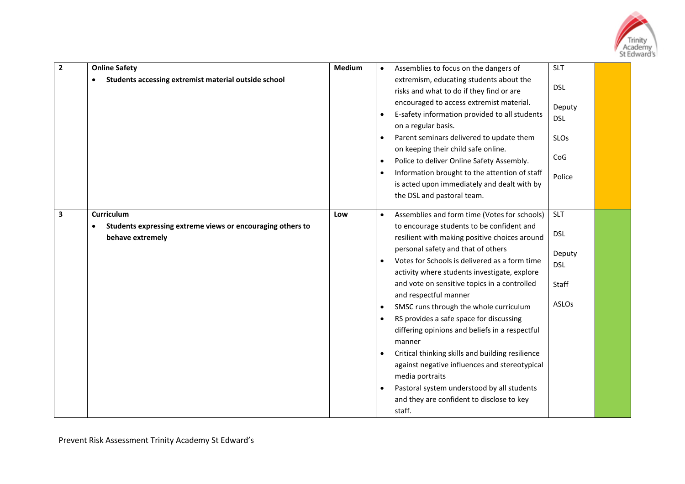

| $\mathbf{2}$ | <b>Online Safety</b><br>Students accessing extremist material outside school                 | <b>Medium</b> | $\bullet$<br>$\bullet$<br>٠                                                | Assemblies to focus on the dangers of<br>extremism, educating students about the<br>risks and what to do if they find or are<br>encouraged to access extremist material.<br>E-safety information provided to all students<br>on a regular basis.<br>Parent seminars delivered to update them<br>on keeping their child safe online.                                                                                                                                                                                                                                                                                                                                                                                                      | <b>SLT</b><br><b>DSL</b><br>Deputy<br><b>DSL</b><br><b>SLOs</b>           |  |
|--------------|----------------------------------------------------------------------------------------------|---------------|----------------------------------------------------------------------------|------------------------------------------------------------------------------------------------------------------------------------------------------------------------------------------------------------------------------------------------------------------------------------------------------------------------------------------------------------------------------------------------------------------------------------------------------------------------------------------------------------------------------------------------------------------------------------------------------------------------------------------------------------------------------------------------------------------------------------------|---------------------------------------------------------------------------|--|
|              |                                                                                              |               | ٠<br>$\bullet$                                                             | Police to deliver Online Safety Assembly.<br>Information brought to the attention of staff<br>is acted upon immediately and dealt with by<br>the DSL and pastoral team.                                                                                                                                                                                                                                                                                                                                                                                                                                                                                                                                                                  | CoG<br>Police                                                             |  |
| 3            | Curriculum<br>Students expressing extreme views or encouraging others to<br>behave extremely | Low           | $\bullet$<br>$\bullet$<br>$\bullet$<br>$\bullet$<br>$\bullet$<br>$\bullet$ | Assemblies and form time (Votes for schools)<br>to encourage students to be confident and<br>resilient with making positive choices around<br>personal safety and that of others<br>Votes for Schools is delivered as a form time<br>activity where students investigate, explore<br>and vote on sensitive topics in a controlled<br>and respectful manner<br>SMSC runs through the whole curriculum<br>RS provides a safe space for discussing<br>differing opinions and beliefs in a respectful<br>manner<br>Critical thinking skills and building resilience<br>against negative influences and stereotypical<br>media portraits<br>Pastoral system understood by all students<br>and they are confident to disclose to key<br>staff. | <b>SLT</b><br><b>DSL</b><br>Deputy<br><b>DSL</b><br>Staff<br><b>ASLOs</b> |  |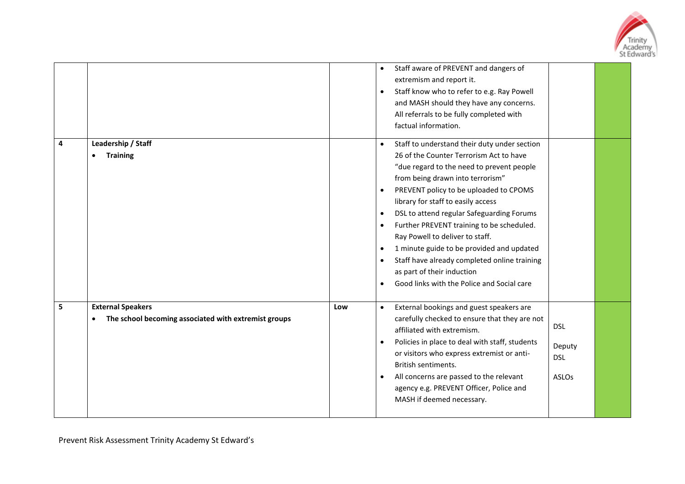

|   |                                                                                  |     | Staff aware of PREVENT and dangers of<br>$\bullet$<br>extremism and report it.<br>Staff know who to refer to e.g. Ray Powell<br>$\bullet$<br>and MASH should they have any concerns.<br>All referrals to be fully completed with<br>factual information.                                                                                                                                                                                                                                                                                                                                                                                     |
|---|----------------------------------------------------------------------------------|-----|----------------------------------------------------------------------------------------------------------------------------------------------------------------------------------------------------------------------------------------------------------------------------------------------------------------------------------------------------------------------------------------------------------------------------------------------------------------------------------------------------------------------------------------------------------------------------------------------------------------------------------------------|
| 4 | Leadership / Staff<br><b>Training</b>                                            |     | Staff to understand their duty under section<br>$\bullet$<br>26 of the Counter Terrorism Act to have<br>"due regard to the need to prevent people<br>from being drawn into terrorism"<br>PREVENT policy to be uploaded to CPOMS<br>$\bullet$<br>library for staff to easily access<br>DSL to attend regular Safeguarding Forums<br>$\bullet$<br>Further PREVENT training to be scheduled.<br>$\bullet$<br>Ray Powell to deliver to staff.<br>1 minute guide to be provided and updated<br>$\bullet$<br>Staff have already completed online training<br>$\bullet$<br>as part of their induction<br>Good links with the Police and Social care |
| 5 | <b>External Speakers</b><br>The school becoming associated with extremist groups | Low | External bookings and guest speakers are<br>$\bullet$<br>carefully checked to ensure that they are not<br><b>DSL</b><br>affiliated with extremism.<br>Policies in place to deal with staff, students<br>$\bullet$<br>Deputy<br>or visitors who express extremist or anti-<br><b>DSL</b><br>British sentiments.<br>All concerns are passed to the relevant<br><b>ASLOs</b><br>$\bullet$<br>agency e.g. PREVENT Officer, Police and<br>MASH if deemed necessary.                                                                                                                                                                               |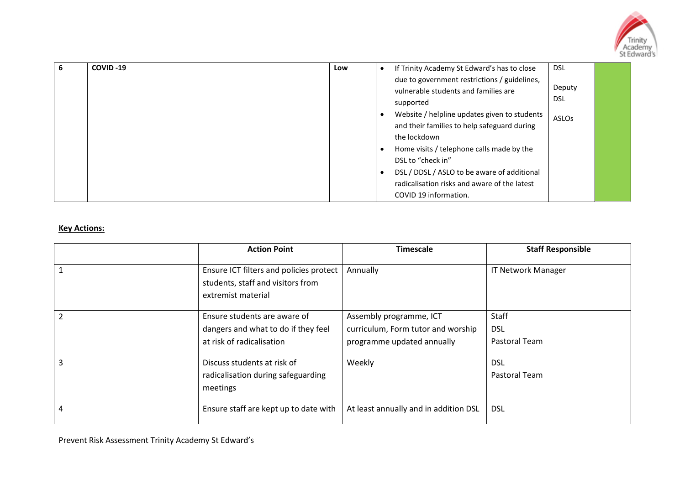

| 6 | COVID-19 | Low | <b>DSL</b><br>If Trinity Academy St Edward's has to close<br>$\bullet$                                                                                                                                                                                         |  |
|---|----------|-----|----------------------------------------------------------------------------------------------------------------------------------------------------------------------------------------------------------------------------------------------------------------|--|
|   |          |     | due to government restrictions / guidelines,<br>Deputy<br>vulnerable students and families are<br>DSL<br>supported<br>Website / helpline updates given to students<br>$\bullet$<br><b>ASLOs</b><br>and their families to help safeguard during<br>the lockdown |  |
|   |          |     | Home visits / telephone calls made by the<br>$\bullet$<br>DSL to "check in"<br>DSL / DDSL / ASLO to be aware of additional<br>$\bullet$<br>radicalisation risks and aware of the latest<br>COVID 19 information.                                               |  |

## **Key Actions:**

| <b>Action Point</b>                                                                                | <b>Timescale</b>                                                                            | <b>Staff Responsible</b>                    |
|----------------------------------------------------------------------------------------------------|---------------------------------------------------------------------------------------------|---------------------------------------------|
| Ensure ICT filters and policies protect<br>students, staff and visitors from<br>extremist material | Annually                                                                                    | <b>IT Network Manager</b>                   |
| Ensure students are aware of<br>dangers and what to do if they feel<br>at risk of radicalisation   | Assembly programme, ICT<br>curriculum, Form tutor and worship<br>programme updated annually | <b>Staff</b><br><b>DSL</b><br>Pastoral Team |
| Discuss students at risk of<br>radicalisation during safeguarding<br>meetings                      | Weekly                                                                                      | <b>DSL</b><br>Pastoral Team                 |
| Ensure staff are kept up to date with                                                              | At least annually and in addition DSL                                                       | <b>DSL</b>                                  |